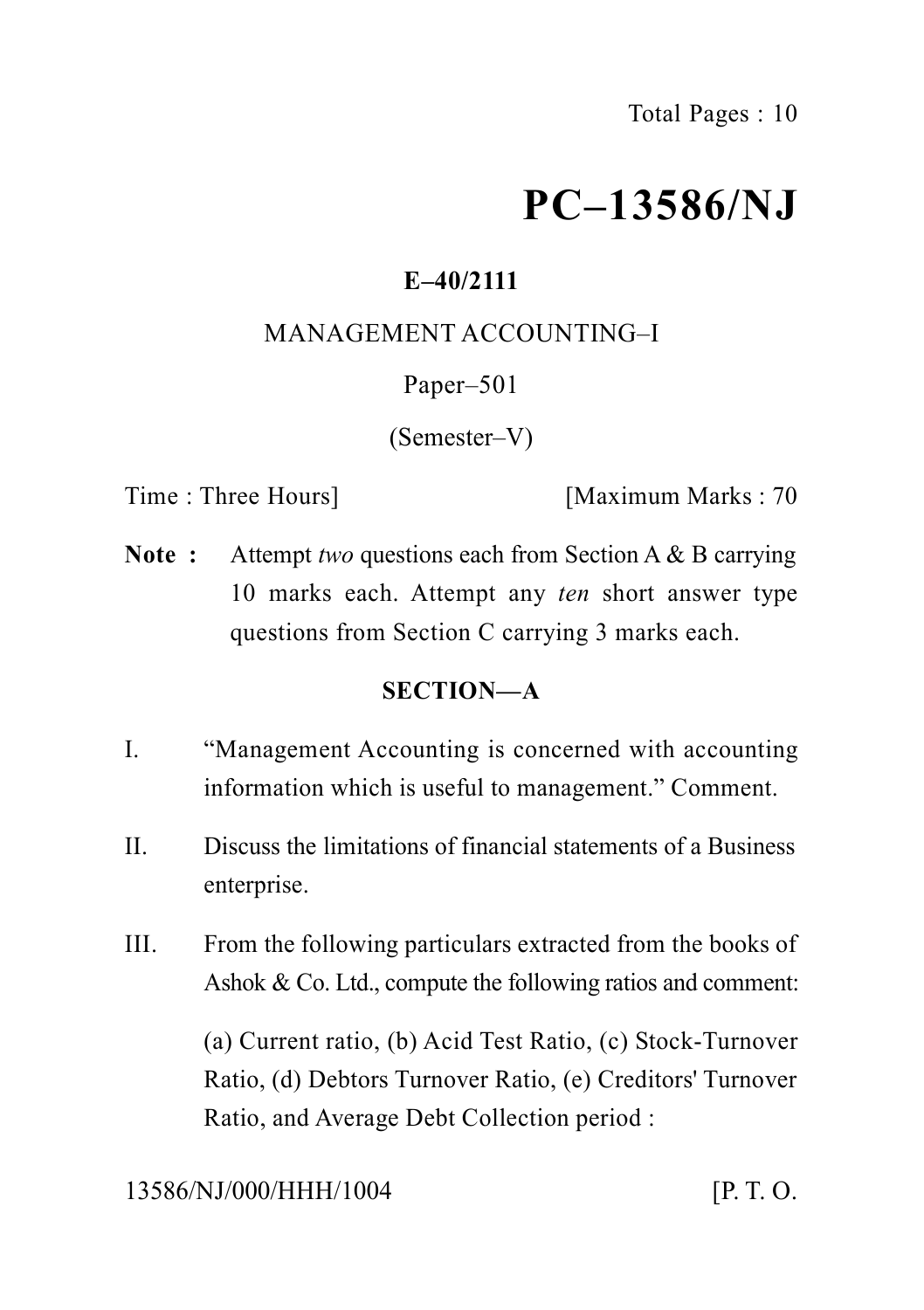# **PC–13586/NJ**

# **E–40/2111**

### MANAGEMENT ACCOUNTING–I

### Paper–501

(Semester–V)

Time : Three Hours] [Maximum Marks : 70

**Note :** Attempt *two* questions each from Section A & B carrying 10 marks each. Attempt any *ten* short answer type questions from Section C carrying 3 marks each.

# **SECTION—A**

- I. "Management Accounting is concerned with accounting information which is useful to management." Comment.
- II. Discuss the limitations of financial statements of a Business enterprise.
- III. From the following particulars extracted from the books of Ashok & Co. Ltd., compute the following ratios and comment:

(a) Current ratio, (b) Acid Test Ratio, (c) Stock-Turnover Ratio, (d) Debtors Turnover Ratio, (e) Creditors' Turnover Ratio, and Average Debt Collection period :

### 13586/NJ/000/HHH/1004 [P. T. O.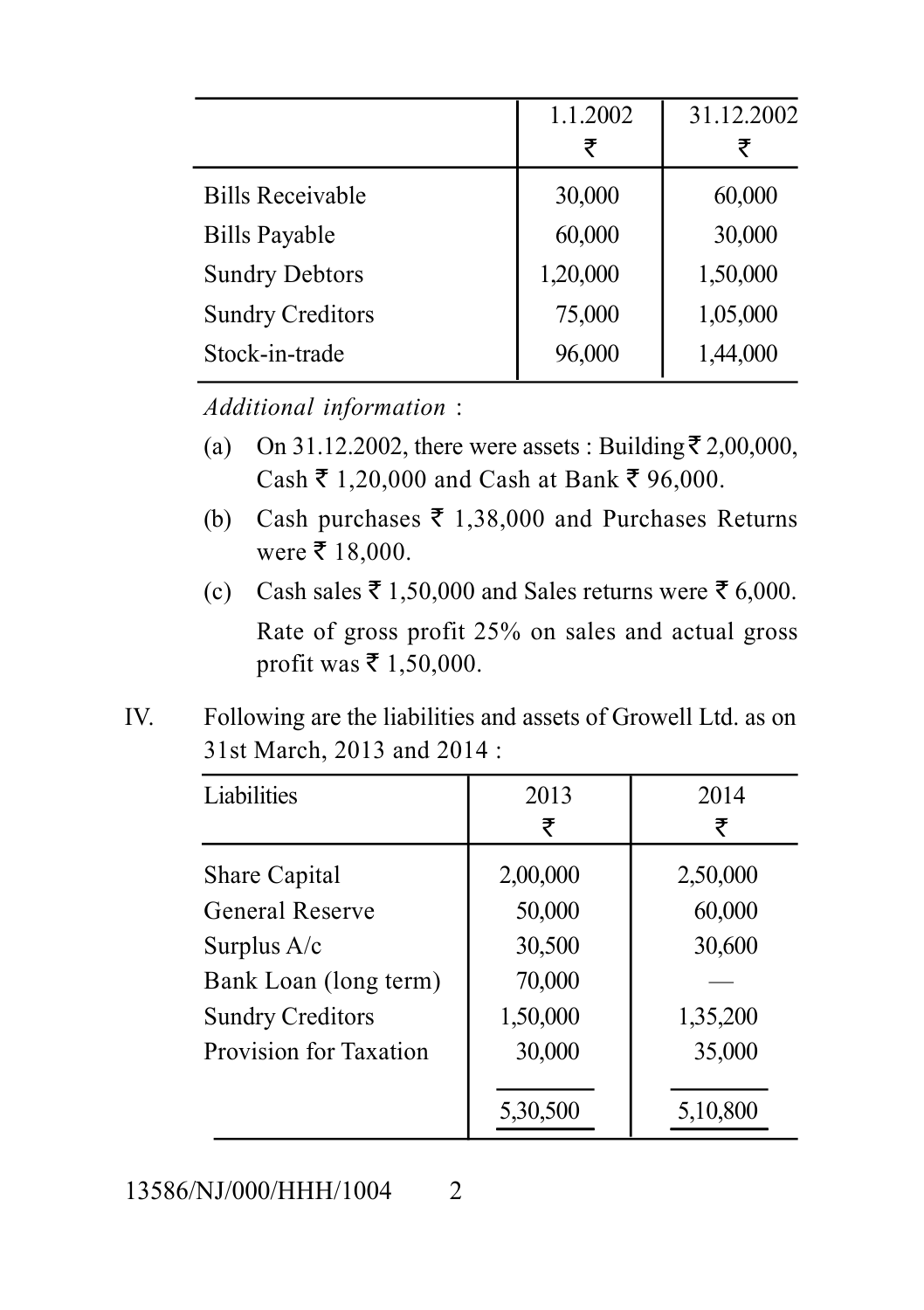|                         | 1.1.2002 | 31.12.2002 |
|-------------------------|----------|------------|
|                         | ₹        |            |
| <b>Bills Receivable</b> | 30,000   | 60,000     |
| <b>Bills Payable</b>    | 60,000   | 30,000     |
| <b>Sundry Debtors</b>   | 1,20,000 | 1,50,000   |
| <b>Sundry Creditors</b> | 75,000   | 1,05,000   |
| Stock-in-trade          | 96,000   | 1,44,000   |

*Additional information* :

- (a) On 31.12.2002, there were assets : Building  $\bar{\tau}$  2,00,000, Cash ₹ 1,20,000 and Cash at Bank ₹ 96,000.
- (b) Cash purchases  $\bar{\tau}$  1,38,000 and Purchases Returns were  $\bar{\tau}$  18,000.
- (c) Cash sales  $\bar{\tau}$  1,50,000 and Sales returns were  $\bar{\tau}$  6,000. Rate of gross profit 25% on sales and actual gross profit was  $\bar{\tau}$  1,50,000.
- IV. Following are the liabilities and assets of Growell Ltd. as on 31st March, 2013 and 2014 :

| Liabilities             | 2013     | 2014     |
|-------------------------|----------|----------|
|                         | ₹        | ₹        |
| Share Capital           | 2,00,000 | 2,50,000 |
| General Reserve         | 50,000   | 60,000   |
| Surplus $A/c$           | 30,500   | 30,600   |
| Bank Loan (long term)   | 70,000   |          |
| <b>Sundry Creditors</b> | 1,50,000 | 1,35,200 |
| Provision for Taxation  | 30,000   | 35,000   |
|                         |          |          |
|                         | 5,30,500 | 5,10,800 |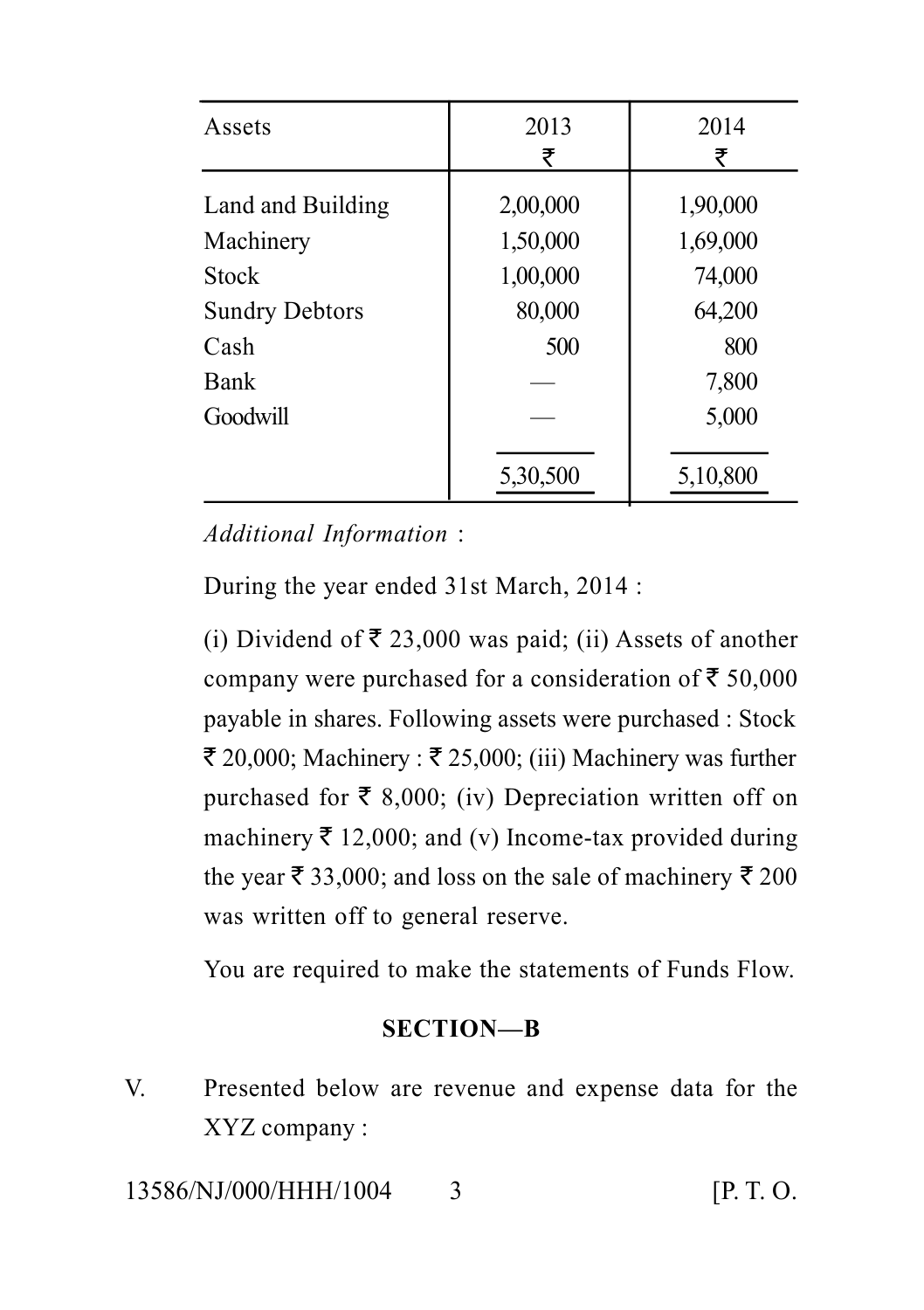| Assets                | 2013     | 2014     |
|-----------------------|----------|----------|
|                       | ₹        | ₹        |
| Land and Building     | 2,00,000 | 1,90,000 |
| Machinery             | 1,50,000 | 1,69,000 |
| <b>Stock</b>          | 1,00,000 | 74,000   |
| <b>Sundry Debtors</b> | 80,000   | 64,200   |
| Cash                  | 500      | 800      |
| Bank                  |          | 7,800    |
| Goodwill              |          | 5,000    |
|                       |          |          |
|                       | 5,30,500 | 5,10,800 |

*Additional Information* :

During the year ended 31st March, 2014 :

(i) Dividend of  $\bar{\tau}$  23,000 was paid; (ii) Assets of another company were purchased for a consideration of  $\bar{z}$  50,000 payable in shares. Following assets were purchased : Stock  $\bar{\xi}$  20,000; Machinery :  $\bar{\xi}$  25,000; (iii) Machinery was further purchased for  $\bar{\tau}$  8,000; (iv) Depreciation written off on machinery  $\bar{\tau}$  12,000; and (v) Income-tax provided during the year  $\bar{\tau}$  33,000; and loss on the sale of machinery  $\bar{\tau}$  200 was written off to general reserve.

You are required to make the statements of Funds Flow.

#### **SECTION—B**

V. Presented below are revenue and expense data for the XYZ company :

13586/NJ/000/HHH/1004 3 [P. T. O.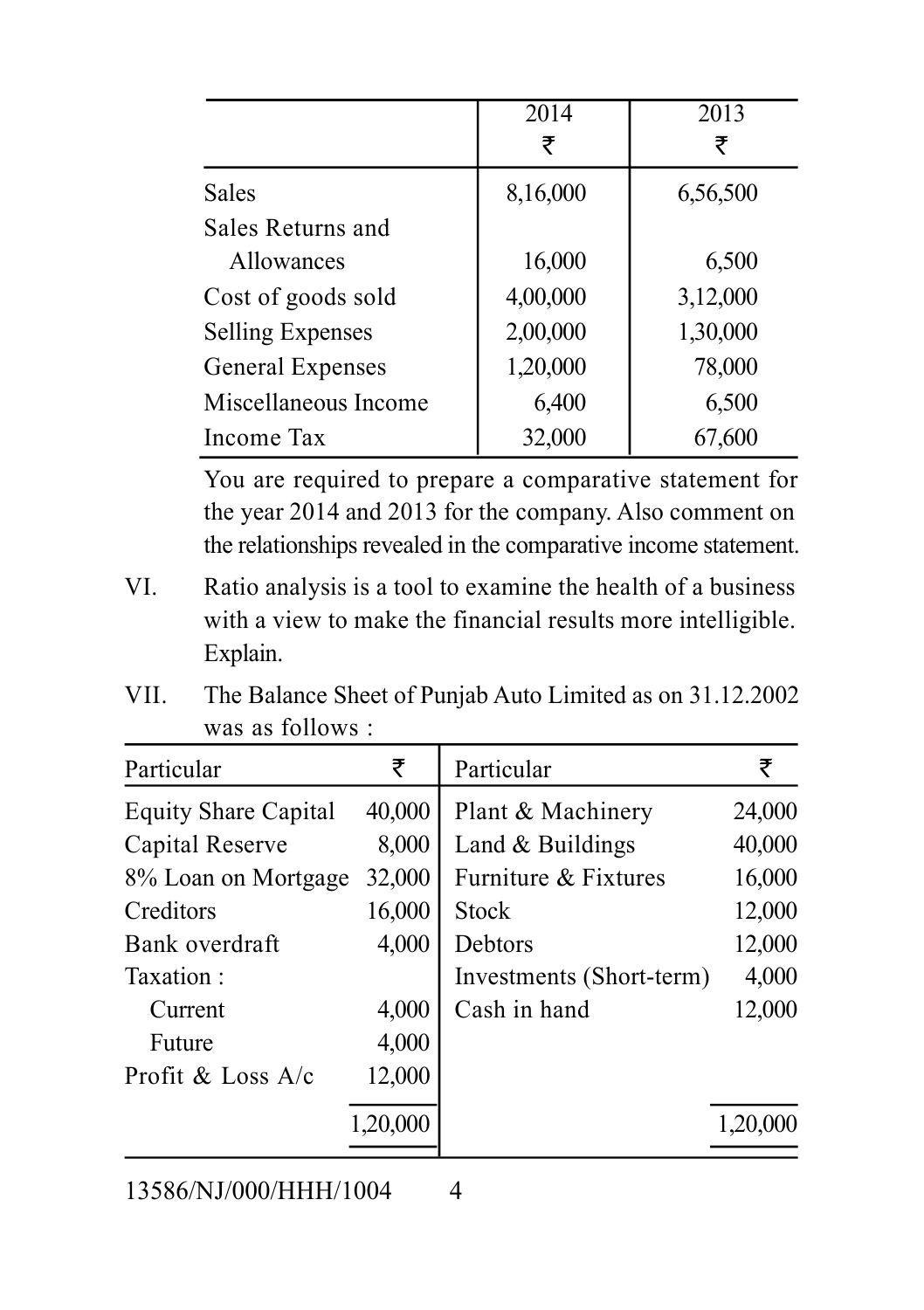|                         | 2014     | 2013     |
|-------------------------|----------|----------|
|                         | ₹        | ₹        |
| <b>Sales</b>            | 8,16,000 | 6,56,500 |
| Sales Returns and       |          |          |
| <b>Allowances</b>       | 16,000   | 6,500    |
| Cost of goods sold      | 4,00,000 | 3,12,000 |
| <b>Selling Expenses</b> | 2,00,000 | 1,30,000 |
| General Expenses        | 1,20,000 | 78,000   |
| Miscellaneous Income    | 6,400    | 6,500    |
| Income Tax              | 32,000   | 67,600   |

You are required to prepare a comparative statement for the year 2014 and 2013 for the company. Also comment on the relationships revealed in the comparative income statement.

- VI. Ratio analysis is a tool to examine the health of a business with a view to make the financial results more intelligible. Explain.
- VII. The Balance Sheet of Punjab Auto Limited as on 31.12.2002 was as follows :

| ₹                             | Particular               | ₹        |
|-------------------------------|--------------------------|----------|
| 40,000                        | Plant & Machinery        | 24,000   |
| 8,000                         | Land $&$ Buildings       | 40,000   |
| 32,000<br>8% Loan on Mortgage | Furniture & Fixtures     | 16,000   |
| 16,000                        | <b>Stock</b>             | 12,000   |
| 4,000                         | Debtors                  | 12,000   |
|                               | Investments (Short-term) | 4,000    |
| 4,000                         | Cash in hand             | 12,000   |
| 4,000                         |                          |          |
| 12,000                        |                          |          |
| 1,20,000                      |                          | 1,20,000 |
|                               |                          |          |

13586/NJ/000/HHH/1004 4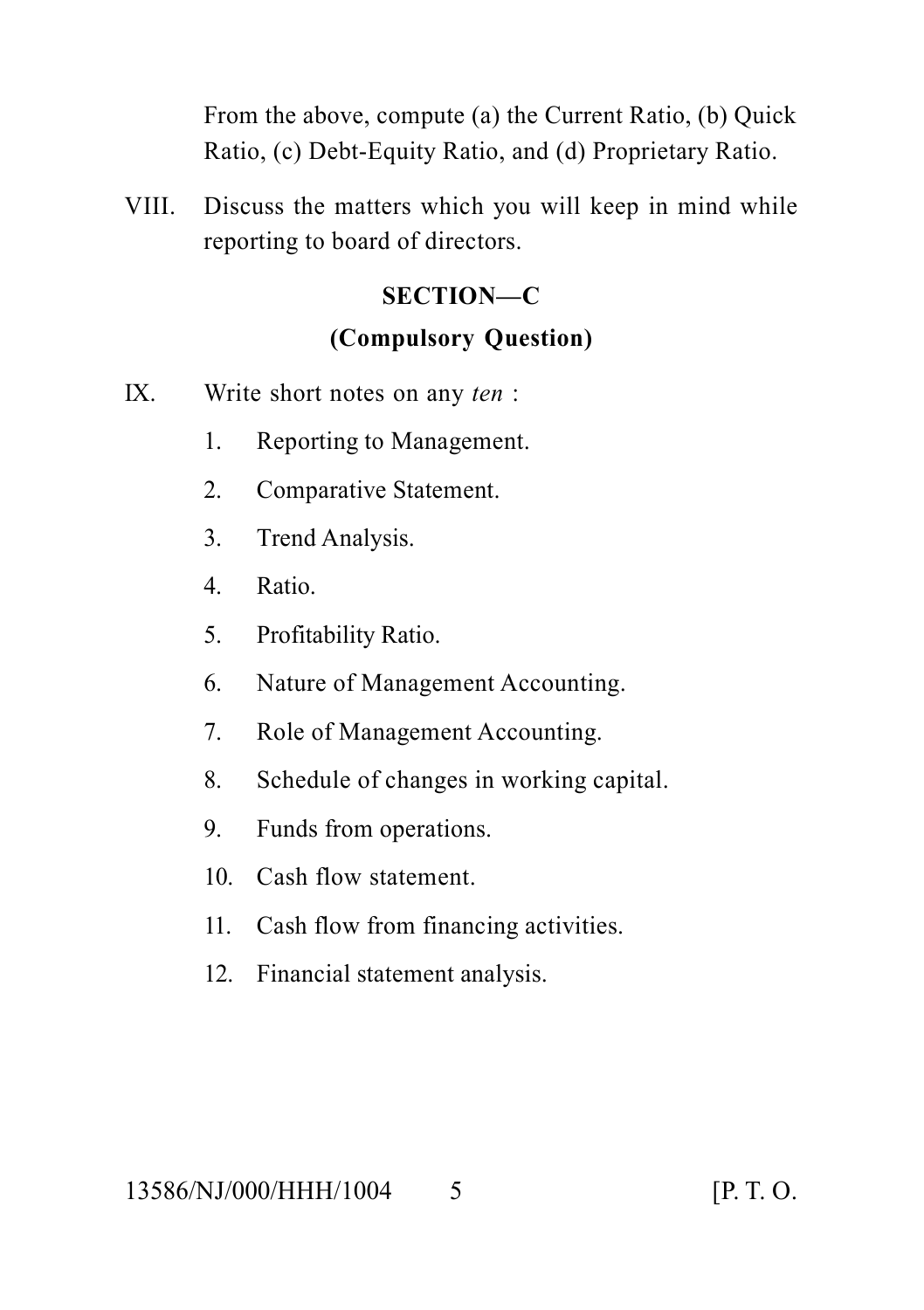From the above, compute (a) the Current Ratio, (b) Quick Ratio, (c) Debt-Equity Ratio, and (d) Proprietary Ratio.

VIII. Discuss the matters which you will keep in mind while reporting to board of directors.

#### **SECTION—C**

#### **(Compulsory Question)**

- IX. Write short notes on any *ten* :
	- 1. Reporting to Management.
	- 2. Comparative Statement.
	- 3. Trend Analysis.
	- 4. Ratio.
	- 5. Profitability Ratio.
	- 6. Nature of Management Accounting.
	- 7. Role of Management Accounting.
	- 8. Schedule of changes in working capital.
	- 9. Funds from operations.
	- 10. Cash flow statement.
	- 11. Cash flow from financing activities.
	- 12. Financial statement analysis.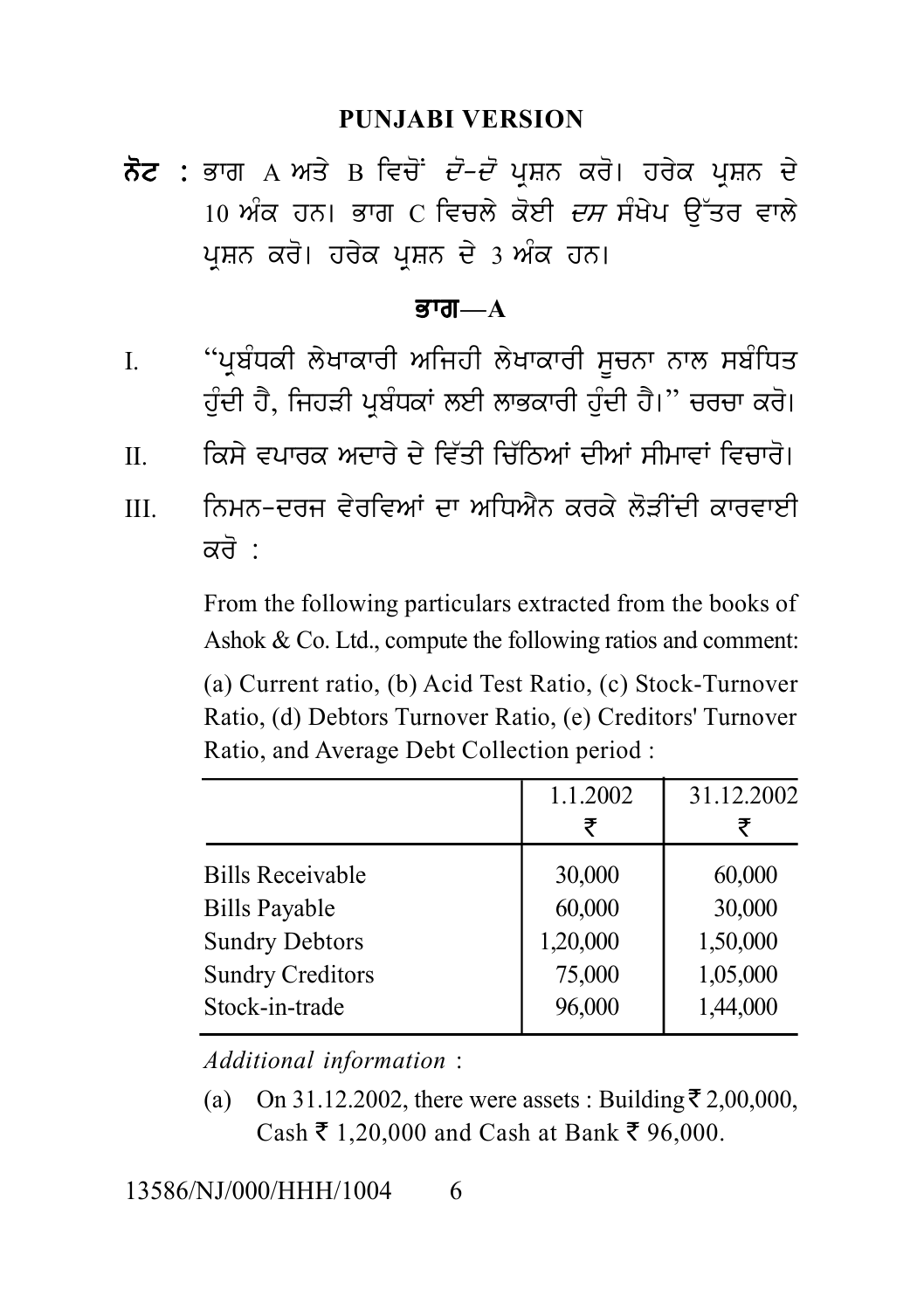#### **PUNJABI VERSION**

PUNJABI VERSION<br>ਨੋਟ : ਭਾਗ A ਅਤੇ B ਵਿਚੋਂ *ਦੋ–ਦੋ* ਪ੍ਰਸ਼ਨ ਕਰੋ। ਹਰੇਕ ਪ੍ਰਸ਼ਨ ਦੇ<br>10 ਅੰਕ ਹਨ। ਭਾਗ C ਵਿਚਲੇ ਕੋਈ *ਦਸ* ਸੰਖੇਪ ਉੱਤਰ ਵਾਲੇ<br>ਪੁਸ਼ਨ ਕਰੋ। ਹਰੇਕ ਪੁਸ਼ਨ ਦੇ 3 ਅੰਕ ਹਨ। PUNJABI VERSION<br>ਭਾਗ A ਅਤੇ B ਵਿਚੋਂ *ਦੋ–ਦੋ* ਪ੍ਰਸ਼ਨ ਕਰੋ। ਹਰੇਕ ਪ੍ਰਸ਼ਨ ਦੇ<br>10 ਅੰਕ ਹਨ। ਭਾਗ C ਵਿਚਲੇ ਕੋਈ *ਦਸ* ਸੰਖੇਪ ਉੱਤਰ ਵਾਲੇ<br>ਪ੍ਰਸ਼ਨ ਕਰੋ। ਹਰੇਕ ਪ੍ਰਸ਼ਨ ਦੇ 3 ਅੰਕ ਹਨ। PUNJABI VERSION<br>ਭਾਗ A ਅਤੇ B ਵਿਚੋਂ *ਦੋ-ਦੋ* ਪ੍ਰਸ਼ਨ ਕਰੋ। ਹਰੇਕ ਪ੍ਰਸ਼ਨ<br>10 ਅੰਕ ਹਨ। ਭਾਗ C ਵਿਚਲੇ ਕੋਈ *ਦਸ* ਸੰਖੇਪ ਉੱਤਰ ਵ<br>ਪ੍ਰਸ਼ਨ ਕਰੋ। ਹਰੇਕ ਪ੍ਰਸ਼ਨ ਦੇ 3 ਅੰਕ ਹਨ।<br>ਭਾਗ—A

#### Bwg**—A**

- I. ਪੰਜਵਾਂ ਹਨਾਂ ਤਾਰਾਂ ਦਾ ਸਰਕਾਰ ਦਾ ਸਾਜ਼ਾਜ ਚੂੰ ਤੁਰਾਵਾਨ<br>ਪ੍ਰਸ਼ਨ ਕਰੋ। ਹਰੇਕ ਪ੍ਰਸ਼ਨ ਦੇ 3 ਅੰਕ ਹਨ।<br>I. "ਪ੍ਰਬੰਧਕੀ ਲੇਖਾਕਾਰੀ ਅਜਿਹੀ ਲੇਖਾਕਾਰੀ ਸੂਚਨਾ ਨਾਲ ਸਬੰਧਿਤ<br>ਹੁੰਦੀ ਹੈ, ਜਿਹੜੀ ਪ੍ਰਬੰਧਕਾਂ ਲਈ ਲਾਭਕਾਰੀ ਹੁੰਦੀ ਹੈ।" ਚਰਚਾ ਕਰੋ।<br>I. ਕਿਸੇ ਵਪਾਰਕ ਅਜ਼ਾਰ ਪ੍ਰਸ਼ਨ ਕਰੋ। ਹਰੇਕ ਪ੍ਰਸ਼ਨ ਦੇ 3 ਅੰਕ ਹਨ।<br>**ਭਾਗ—A**<br>"ਪ੍ਰਬੰਧਕੀ ਲੇਖਾਕਾਰੀ ਅਜਿਹੀ ਲੇਖਾਕਾਰੀ ਸੂਚਨਾ ਨਾਲ ਸਬੰਧਿਤ<br>ਹੁੰਦੀ ਹੈ, ਜਿਹੜੀ ਪ੍ਰਬੰਧਕਾਂ ਲਈ ਲਾਭਕਾਰੀ ਹੁੰਦੀ ਹੈ।" ਚਰਚਾ ਕਰੋ।<br>ਕਿਸੇ ਵਪਾਰਕ ਅਦਾਰੇ ਦੇ ਵਿੱਤੀ ਚਿੱਠਿਆਂ ਦੀਆਂ ਸੀਮਾਵਾਂ ਵਿਚਾਰੋ।<br>ਨਿਮਨ-ਦਰਜ ਵੇ I. "ਪ੍ਰਬੰਧਕੀ ਲੇਖਾਕਾਰੀ ਅਜਿਹੀ ਲੇਖਾਕਾਰੀ ਸੂਚਨਾ ਨਾਲ ਸਬੰਧਿਤ<br>ਹੁੰਦੀ ਹੈ, ਜਿਹੜੀ ਪ੍ਰਬੰਧਕਾਂ ਲਈ ਲਾਭਕਾਰੀ ਹੁੰਦੀ ਹੈ।" ਚਰਚਾ ਕਰੋ।<br>II. ਕਿਸੇ ਵਪਾਰਕ ਅਦਾਰੇ ਦੇ ਵਿੱਤੀ ਚਿੱਠਿਆਂ ਦੀਆਂ ਸੀਮਾਵਾਂ ਵਿਚਾਰੋ।<br>III. ਨਿਮਨ-ਦਰਜ ਵੇਰਵਿਆਂ ਦਾ ਅਧਿਐਨ ਕਰਕੇ ਲੋੜੀਂ
- 
- II. ਸ਼ਾਹਕਕਰ ਨਾਂ ਕਾਰ ਕਿ ਅਜਿਹਾ ਨਾਂ ਕਾਰ ਸ਼ਰੂਰਨ ਨਾਂ ਨਾਂ ਮੁਕਾਬਤ<br>ਹੁੰਦੀ ਹੈ, ਜਿਹੜੀ ਪ੍ਰਬੰਧਕਾਂ ਲਈ ਲਾਭਕਾਰੀ ਹੁੰਦੀ ਹੈ।" ਚਰਚਾ ਕਰੋ।<br>II. ਸਿੰਮਨ-ਦਰਜ ਵੇਰਵਿਆਂ ਦਾ ਅਧਿਐਨ ਕਰਕੇ ਲੋੜੀਂਦੀ ਕਾਰਵਾਈ<br>ਕਰੋ :<br>Fram the following particulars autrested fram ਤੁਹਾ ਤੇ, ਜਾਰਵਾ ਤ੍ਰਬੰਧਕਾ ਦੇਣ<br>ਕਿਸੇ ਵਪਾਰਕ ਅਦਾਰੇ ਦੇ ਵਿੱਤੀ<br>ਨਿਮਨ-ਦਰਜ ਵੇਰਵਿਆਂ ਦਾ ਪ<br>ਕਰੋ :<br>From the following particu<br>Ashok & Co Ltd\_compute

From the following particulars extracted from the books of Ashok & Co. Ltd., compute the following ratios and comment:

(a) Current ratio, (b) Acid Test Ratio, (c) Stock-Turnover Ratio, (d) Debtors Turnover Ratio, (e) Creditors' Turnover Ratio, and Average Debt Collection period :

|                         | 1.1.2002 | 31.12.2002 |  |
|-------------------------|----------|------------|--|
|                         | ₹        | ₹          |  |
| <b>Bills Receivable</b> | 30,000   | 60,000     |  |
| <b>Bills Payable</b>    | 60,000   | 30,000     |  |
| <b>Sundry Debtors</b>   | 1,20,000 | 1,50,000   |  |
| <b>Sundry Creditors</b> | 75,000   | 1,05,000   |  |
| Stock-in-trade          | 96,000   | 1,44,000   |  |
|                         |          |            |  |

*Additional information* :

(a) On 31.12.2002, there were assets : Building  $\bar{\tau}$  2,00,000,  $Cash ₹ 1,20,000$  and Cash at Bank ₹ 96,000.

13586/NJ/000/HHH/1004 6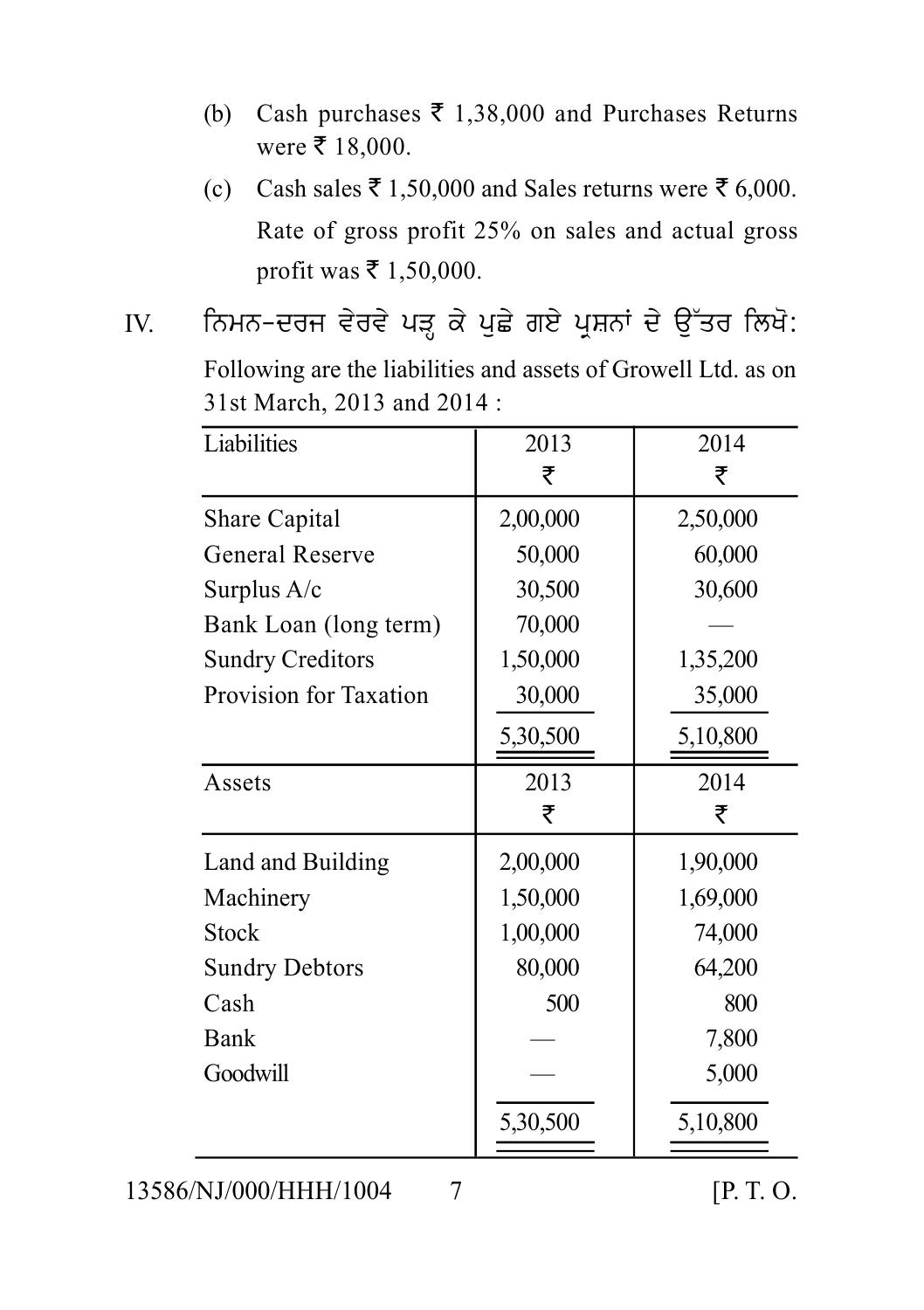- (b) Cash purchases  $\bar{\tau}$  1,38,000 and Purchases Returns were  $\bar{\tau}$  18,000.
- (c) Cash sales  $\bar{\tau}$  1,50,000 and Sales returns were  $\bar{\tau}$  6,000. Rate of gross profit 25% on sales and actual gross profit was ₹ 1,50,000.
- All of gross profit 25% on sales and actual gross<br>profit was ₹1,50,000.<br>IV. for twas ₹1,50,000.<br>IV. for twas ₹1,50,000.<br>IV. for twas ₹1,50,000.<br>Following are the liabilities and assets of Growell Ltd. as on<br>31st March, 2 Following are the liabilities and assets of Growell Ltd. as on 31st March, 2013 and 2014 :

| Liabilities             | 2013     | 2014     |
|-------------------------|----------|----------|
|                         | ₹        | ₹        |
| <b>Share Capital</b>    | 2,00,000 | 2,50,000 |
| General Reserve         | 50,000   | 60,000   |
| Surplus $A/c$           | 30,500   | 30,600   |
| Bank Loan (long term)   | 70,000   |          |
| <b>Sundry Creditors</b> | 1,50,000 | 1,35,200 |
| Provision for Taxation  | 30,000   | 35,000   |
|                         | 5,30,500 | 5,10,800 |
| Assets                  | 2013     | 2014     |
|                         | ₹        | ₹        |
| Land and Building       | 2,00,000 | 1,90,000 |
| Machinery               | 1,50,000 | 1,69,000 |
| <b>Stock</b>            | 1,00,000 |          |
|                         |          | 74,000   |
| <b>Sundry Debtors</b>   | 80,000   | 64,200   |
| Cash                    | 500      | 800      |
| <b>Bank</b>             |          | 7,800    |
| Goodwill                |          | 5,000    |
|                         | 5,30,500 | 5,10,800 |

13586/NJ/000/HHH/1004 7 [P. T. O.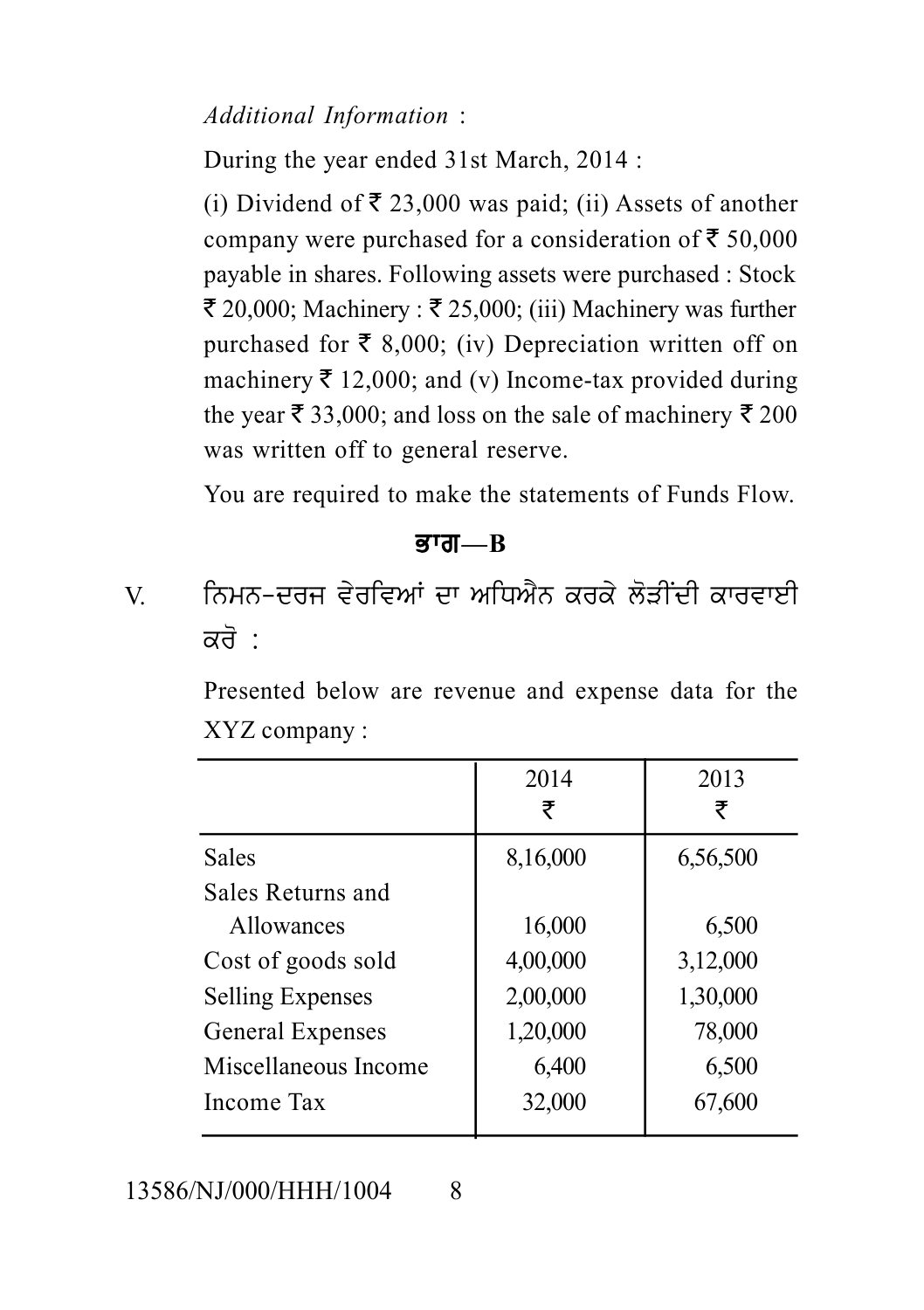### *Additional Information* :

During the year ended 31st March, 2014 :

(i) Dividend of  $\bar{\tau}$  23,000 was paid; (ii) Assets of another company were purchased for a consideration of  $\bar{\epsilon}$  50,000 payable in shares. Following assets were purchased : Stock  $\bar{\tau}$  20,000; Machinery :  $\bar{\tau}$  25,000; (iii) Machinery was further purchased for  $\bar{\tau}$  8,000; (iv) Depreciation written off on machinery  $\bar{\tau}$  12,000; and (v) Income-tax provided during the year  $\bar{\xi}$  33,000; and loss on the sale of machinery  $\bar{\xi}$  200 was written off to general reserve.

You are required to make the statements of Funds Flow.

Bwg**—B**

was writch of to general reserve.<br>
You are required to make the statements of Funds Flow.<br> **ਭਾਗ—B**<br>
V. ਨਿਮਨ-ਦਰਜ ਵੇਰਵਿਆਂ ਦਾ ਅਧਿਐਨ ਕਰਕੇ ਲੋੜੀਂਦੀ ਕਾਰਵਾਈ<br>
ਕਰੋ : ਤਾਗ–<br>ਭਾਗ–<br>ਨਿਮਨ−ਦਰਜ ਵੇਰਵਿਆਂ ਦਾ ਪ<br>ਕਰੋ :<br>Presented below are reve<br>xvz.company :

Presented below are revenue and expense data for the XYZ company :

|                         | 2014     | 2013     |
|-------------------------|----------|----------|
|                         | ₹        | ₹        |
| <b>Sales</b>            | 8,16,000 | 6,56,500 |
| Sales Returns and       |          |          |
| <b>Allowances</b>       | 16,000   | 6,500    |
| Cost of goods sold      | 4,00,000 | 3,12,000 |
| <b>Selling Expenses</b> | 2,00,000 | 1,30,000 |
| General Expenses        | 1,20,000 | 78,000   |
| Miscellaneous Income    | 6,400    | 6,500    |
| Income Tax              | 32,000   | 67,600   |
|                         |          |          |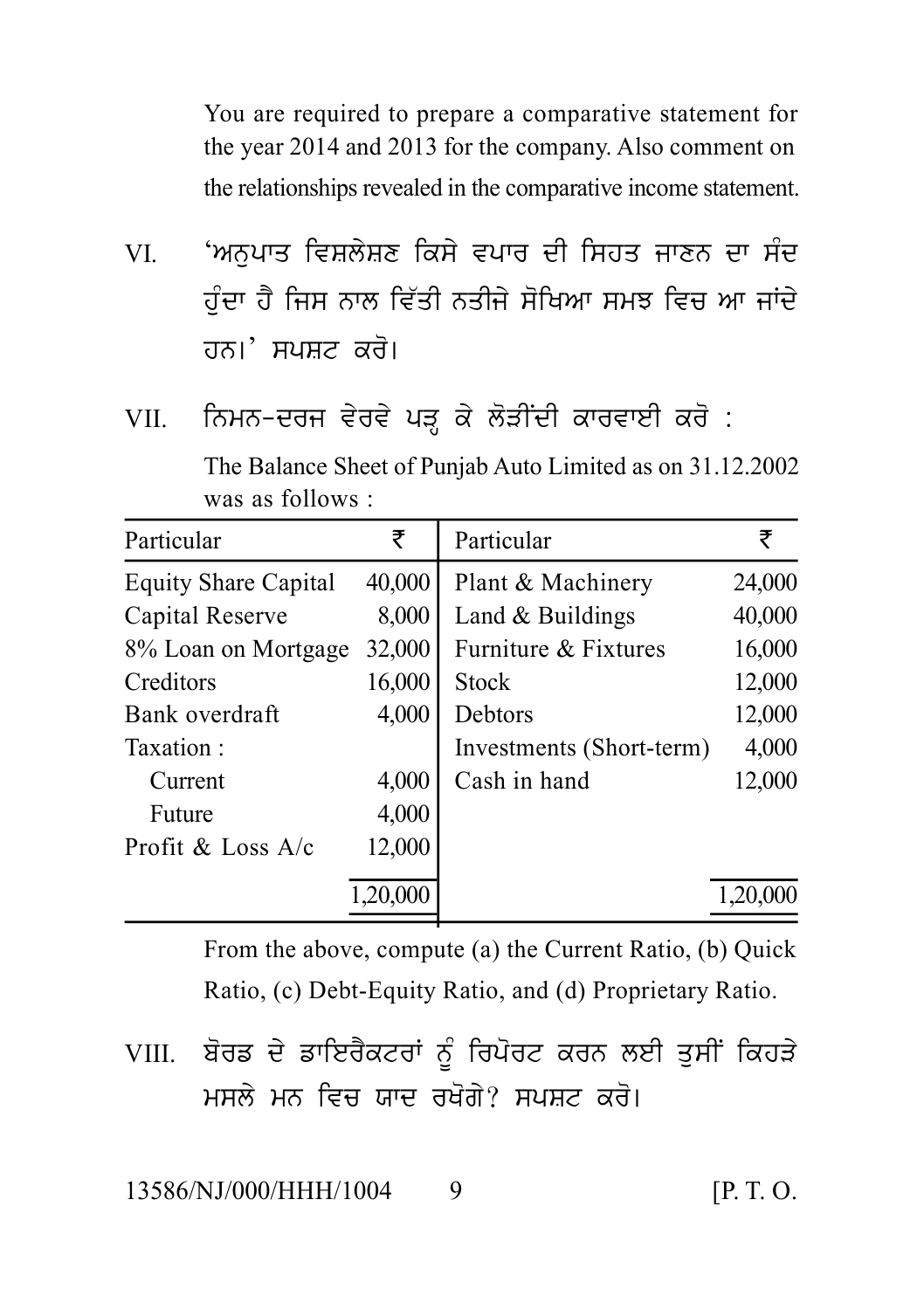You are required to prepare a comparative statement for the year 2014 and 2013 for the company. Also comment on the relationships revealed in the comparative income statement.

- You are required to prepare a comparative statement for<br>the year 2014 and 2013 for the company. Also comment on<br>the relationships revealed in the comparative income statement.<br>VI. "ਅਨੁਪਾਤ ਵਿਸ਼ਲੇਸ਼ਣ ਕਿਸੇ ਵਪਾਰ ਦੀ ਸਿਹਤ ਜਾਣਨ the relationships revealed in the comparative income statement.<br>'ਅਨੁਪਾਤ ਵਿਸ਼ਲੇਸ਼ਣ ਕਿਸੇ ਵਪਾਰ ਦੀ ਸਿਹਤ ਜਾਣਨ ਦਾ ਸੰਦ<br>ਹੁੰਦਾ ਹੈ ਜਿਸ ਨਾਲ ਵਿੱਤੀ ਨਤੀਜੇ ਸੋਖਿਆ ਸਮਝ ਵਿਚ ਆ ਜਾਂਦੇ<br>ਹਨ।' ਸਪਸ਼ਟ ਕਰੋ। 'ਅਨੁਪਾਤ ਵਿਸ਼ਲੇਸ਼ਣ ਕਿਸੇ ਵਪਾਰ ਦੀ ਸਿਹਤ ਜਾਣਨ ਦਾ ਸੰਦ<br>ਹੁੰਦਾ ਹੈ ਜਿਸ ਨਾਲ ਵਿੱਤੀ ਨਤੀਜੇ ਸੋਖਿਆ ਸਮਝ ਵਿਚ ਆ ਜਾਂਦੇ<br>ਹਨ।' ਸਪਸ਼ਟ ਕਰੋ।<br>ਨਿਮਨ-ਦਰਜ ਵੇਰਵੇ ਪੜ੍ਹ ਕੇ ਲੋੜੀਂਦੀ ਕਾਰਵਾਈ ਕਰੋ : ਹੁੰਦਾ ਹੈ ਜਿਸ ਨਾਲ ਵਿੱਤੀ ਨਤੀਜੇ ਸੋਖਿਆ ਸਮਝ ਵਿਚ ਆ ਜਾਂਦੇ<br>ਹਨ।' ਸਪਸ਼ਟ ਕਰੋ।<br>VII. ਨਿਮਨ-ਦਰਜ ਵੇਰਵੇ ਪੜ੍ਹ ਕੇ ਲੋੜੀਂਦੀ ਕਾਰਵਾਈ ਕਰੋ :<br>The Balance Sheet of Punjab Auto Limited as on 31.12.2002<br>was as follows :
- 

The Balance Sheet of Punjab Auto Limited as on 31.12.2002 was as follows :

| Particular                  | ₹       | Particular               | ₹        |
|-----------------------------|---------|--------------------------|----------|
| <b>Equity Share Capital</b> | 40,000  | Plant & Machinery        | 24,000   |
| Capital Reserve             | 8,000   | Land $&$ Buildings       | 40,000   |
| 8% Loan on Mortgage         | 32,000  | Furniture & Fixtures     | 16,000   |
| Creditors                   | 16,000  | <b>Stock</b>             | 12,000   |
| Bank overdraft              | 4,000   | Debtors                  | 12,000   |
| Taxation:                   |         | Investments (Short-term) | 4,000    |
| Current                     | 4,000   | Cash in hand             | 12,000   |
| Future                      | 4,000   |                          |          |
| Profit & Loss $A/c$         | 12,000  |                          |          |
|                             | ,20,000 |                          | .,20,000 |

From the above, compute (a) the Current Ratio, (b) Quick Ratio, (c) Debt-Equity Ratio, and (d) Proprietary Ratio.

From the above, compute (a) the Current Ratio, (b) Quick<br>Ratio, (c) Debt-Equity Ratio, and (d) Proprietary Ratio.<br>VIII. ਬੋਰਡ ਦੇ ਡਾਇਰੈਕਟਰਾਂ ਨੂੰ ਰਿਪੋਰਟ ਕਰਨ ਲਈ ਤੁਸੀਂ ਕਿਹੜੇ<br>ਮਸਲੇ ਮਨ ਵਿਚ ਯਾਦ ਰਖੋਗੇ? ਸਪਸ਼ਟ ਕਰੋ। ਬੋਰਡ ਦੇ ਡਾਇਰੈਕਟਰਾਂ ਨੂੰ ਰਿਪੋਰਟ ਕਰਨ ਲਈ ਤੁਸੀਂ ਕਿਹੜੇ<br>ਮਸਲੇ ਮਨ ਵਿਚ ਯਾਦ ਰਖੋਗੇ? ਸਪਸ਼ਟ ਕਰੋ।<br>NJ/000/HHH/1004 9